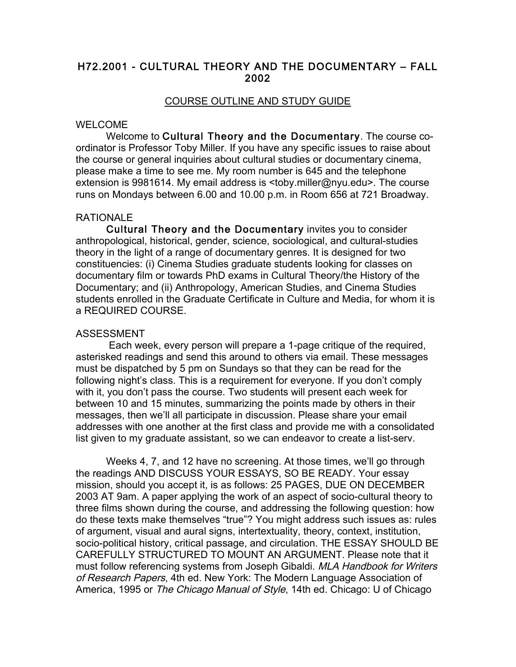## H72.2001 - CULTURAL THEORY AND THE DOCUMENTARY – FALL 2002

#### COURSE OUTLINE AND STUDY GUIDE

#### WELCOME

Welcome to Cultural Theory and the Documentary. The course coordinator is Professor Toby Miller. If you have any specific issues to raise about the course or general inquiries about cultural studies or documentary cinema, please make a time to see me. My room number is 645 and the telephone extension is 9981614. My email address is <toby.miller@nyu.edu>. The course runs on Mondays between 6.00 and 10.00 p.m. in Room 656 at 721 Broadway.

#### RATIONALE

Cultural Theory and the Documentary invites you to consider anthropological, historical, gender, science, sociological, and cultural-studies theory in the light of a range of documentary genres. It is designed for two constituencies: (i) Cinema Studies graduate students looking for classes on documentary film or towards PhD exams in Cultural Theory/the History of the Documentary; and (ii) Anthropology, American Studies, and Cinema Studies students enrolled in the Graduate Certificate in Culture and Media, for whom it is a REQUIRED COURSE.

#### ASSESSMENT

 Each week, every person will prepare a 1-page critique of the required, asterisked readings and send this around to others via email. These messages must be dispatched by 5 pm on Sundays so that they can be read for the following night's class. This is a requirement for everyone. If you don't comply with it, you don't pass the course. Two students will present each week for between 10 and 15 minutes, summarizing the points made by others in their messages, then we'll all participate in discussion. Please share your email addresses with one another at the first class and provide me with a consolidated list given to my graduate assistant, so we can endeavor to create a list-serv.

Weeks 4, 7, and 12 have no screening. At those times, we'll go through the readings AND DISCUSS YOUR ESSAYS, SO BE READY. Your essay mission, should you accept it, is as follows: 25 PAGES, DUE ON DECEMBER 2003 AT 9am. A paper applying the work of an aspect of socio-cultural theory to three films shown during the course, and addressing the following question: how do these texts make themselves "true"? You might address such issues as: rules of argument, visual and aural signs, intertextuality, theory, context, institution, socio-political history, critical passage, and circulation. THE ESSAY SHOULD BE CAREFULLY STRUCTURED TO MOUNT AN ARGUMENT. Please note that it must follow referencing systems from Joseph Gibaldi. MLA Handbook for Writers of Research Papers, 4th ed. New York: The Modern Language Association of America, 1995 or The Chicago Manual of Style, 14th ed. Chicago: U of Chicago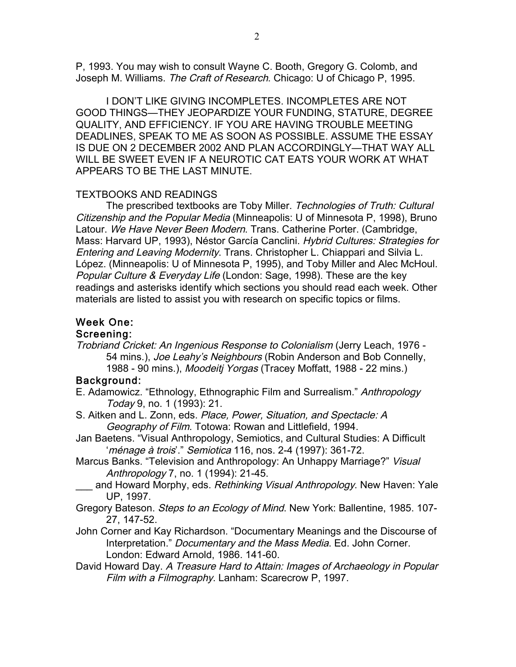P, 1993. You may wish to consult Wayne C. Booth, Gregory G. Colomb, and Joseph M. Williams. The Craft of Research. Chicago: U of Chicago P, 1995.

I DON'T LIKE GIVING INCOMPLETES. INCOMPLETES ARE NOT GOOD THINGS—THEY JEOPARDIZE YOUR FUNDING, STATURE, DEGREE QUALITY, AND EFFICIENCY. IF YOU ARE HAVING TROUBLE MEETING DEADLINES, SPEAK TO ME AS SOON AS POSSIBLE. ASSUME THE ESSAY IS DUE ON 2 DECEMBER 2002 AND PLAN ACCORDINGLY—THAT WAY ALL WILL BE SWEET EVEN IF A NEUROTIC CAT EATS YOUR WORK AT WHAT APPEARS TO BE THE LAST MINUTE.

## TEXTBOOKS AND READINGS

The prescribed textbooks are Toby Miller. Technologies of Truth: Cultural Citizenship and the Popular Media (Minneapolis: U of Minnesota P, 1998), Bruno Latour. We Have Never Been Modern. Trans. Catherine Porter. (Cambridge, Mass: Harvard UP, 1993), Néstor García Canclini. Hybrid Cultures: Strategies for Entering and Leaving Modernity. Trans. Christopher L. Chiappari and Silvia L. López. (Minneapolis: U of Minnesota P, 1995), and Toby Miller and Alec McHoul. Popular Culture & Everyday Life (London: Sage, 1998). These are the key readings and asterisks identify which sections you should read each week. Other materials are listed to assist you with research on specific topics or films.

# Week One:

### Screening:

Trobriand Cricket: An Ingenious Response to Colonialism (Jerry Leach, 1976 - 54 mins.), Joe Leahy's Neighbours (Robin Anderson and Bob Connelly, 1988 - 90 mins.), Moodeitj Yorgas (Tracey Moffatt, 1988 - 22 mins.)

- E. Adamowicz. "Ethnology, Ethnographic Film and Surrealism." Anthropology Today 9, no. 1 (1993): 21.
- S. Aitken and L. Zonn, eds. Place, Power, Situation, and Spectacle: A Geography of Film. Totowa: Rowan and Littlefield, 1994.
- Jan Baetens. "Visual Anthropology, Semiotics, and Cultural Studies: A Difficult 'ménage à trois'." Semiotica 116, nos. 2-4 (1997): 361-72.
- Marcus Banks. "Television and Anthropology: An Unhappy Marriage?" Visual Anthropology 7, no. 1 (1994): 21-45.
- and Howard Morphy, eds. Rethinking Visual Anthropology. New Haven: Yale UP, 1997.
- Gregory Bateson. Steps to an Ecology of Mind. New York: Ballentine, 1985. 107- 27, 147-52.
- John Corner and Kay Richardson. "Documentary Meanings and the Discourse of Interpretation." Documentary and the Mass Media. Ed. John Corner. London: Edward Arnold, 1986. 141-60.
- David Howard Day. A Treasure Hard to Attain: Images of Archaeology in Popular Film with a Filmography. Lanham: Scarecrow P, 1997.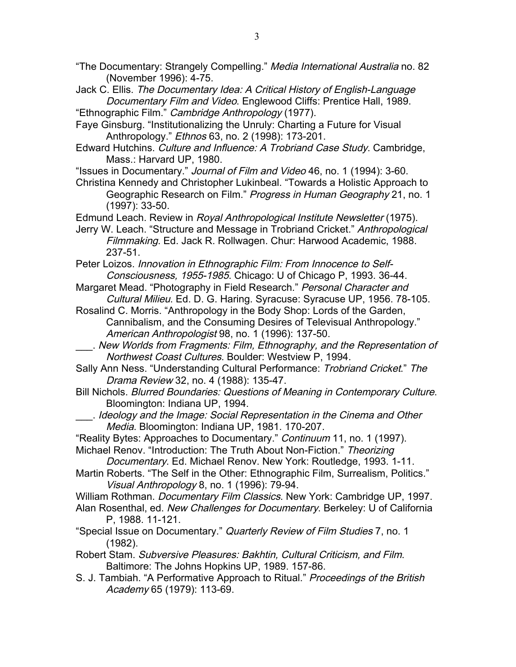- "The Documentary: Strangely Compelling." Media International Australia no. 82 (November 1996): 4-75.
- Jack C. Ellis. The Documentary Idea: A Critical History of English-Language Documentary Film and Video. Englewood Cliffs: Prentice Hall, 1989.

"Ethnographic Film." Cambridge Anthropology (1977).

- Faye Ginsburg. "Institutionalizing the Unruly: Charting a Future for Visual Anthropology." Ethnos 63, no. 2 (1998): 173-201.
- Edward Hutchins. Culture and Influence: A Trobriand Case Study. Cambridge, Mass.: Harvard UP, 1980.
- "Issues in Documentary." Journal of Film and Video 46, no. 1 (1994): 3-60.
- Christina Kennedy and Christopher Lukinbeal. "Towards a Holistic Approach to Geographic Research on Film." Progress in Human Geography 21, no. 1 (1997): 33-50.
- Edmund Leach. Review in Royal Anthropological Institute Newsletter (1975).
- Jerry W. Leach. "Structure and Message in Trobriand Cricket." Anthropological Filmmaking. Ed. Jack R. Rollwagen. Chur: Harwood Academic, 1988. 237-51.
- Peter Loizos. Innovation in Ethnographic Film: From Innocence to Self-Consciousness, 1955-1985. Chicago: U of Chicago P, 1993. 36-44.
- Margaret Mead. "Photography in Field Research." Personal Character and Cultural Milieu. Ed. D. G. Haring. Syracuse: Syracuse UP, 1956. 78-105.
- Rosalind C. Morris. "Anthropology in the Body Shop: Lords of the Garden, Cannibalism, and the Consuming Desires of Televisual Anthropology." American Anthropologist 98, no. 1 (1996): 137-50.
- \_\_\_. New Worlds from Fragments: Film, Ethnography, and the Representation of Northwest Coast Cultures. Boulder: Westview P, 1994.
- Sally Ann Ness. "Understanding Cultural Performance: Trobriand Cricket." The Drama Review 32, no. 4 (1988): 135-47.
- Bill Nichols. Blurred Boundaries: Questions of Meaning in Contemporary Culture. Bloomington: Indiana UP, 1994.
- \_\_\_. Ideology and the Image: Social Representation in the Cinema and Other Media. Bloomington: Indiana UP, 1981. 170-207.
- "Reality Bytes: Approaches to Documentary." Continuum 11, no. 1 (1997).
- Michael Renov. "Introduction: The Truth About Non-Fiction." Theorizing Documentary. Ed. Michael Renov. New York: Routledge, 1993. 1-11.
- Martin Roberts. "The Self in the Other: Ethnographic Film, Surrealism, Politics." Visual Anthropology 8, no. 1 (1996): 79-94.
- William Rothman. *Documentary Film Classics*. New York: Cambridge UP, 1997.
- Alan Rosenthal, ed. New Challenges for Documentary. Berkeley: U of California P, 1988. 11-121.
- "Special Issue on Documentary." Quarterly Review of Film Studies 7, no. 1 (1982).
- Robert Stam. Subversive Pleasures: Bakhtin, Cultural Criticism, and Film. Baltimore: The Johns Hopkins UP, 1989. 157-86.
- S. J. Tambiah. "A Performative Approach to Ritual." Proceedings of the British Academy 65 (1979): 113-69.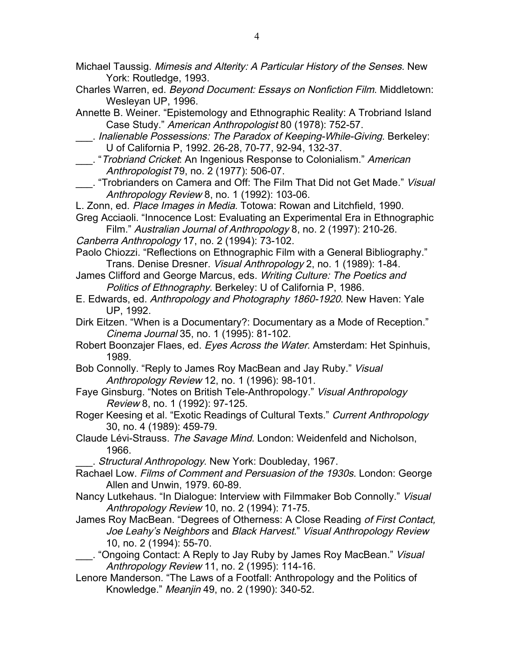Michael Taussig. Mimesis and Alterity: A Particular History of the Senses. New York: Routledge, 1993.

- Charles Warren, ed. Beyond Document: Essays on Nonfiction Film. Middletown: Wesleyan UP, 1996.
- Annette B. Weiner. "Epistemology and Ethnographic Reality: A Trobriand Island Case Study." American Anthropologist 80 (1978): 752-57.

. Inalienable Possessions: The Paradox of Keeping-While-Giving. Berkeley: U of California P, 1992. 26-28, 70-77, 92-94, 132-37.

**EXEC**. "Trobriand Cricket: An Ingenious Response to Colonialism." American Anthropologist 79, no. 2 (1977): 506-07.

... "Trobrianders on Camera and Off: The Film That Did not Get Made." Visual Anthropology Review 8, no. 1 (1992): 103-06.

L. Zonn, ed. Place Images in Media. Totowa: Rowan and Litchfield, 1990. Greg Acciaoli. "Innocence Lost: Evaluating an Experimental Era in Ethnographic

Film." Australian Journal of Anthropology 8, no. 2 (1997): 210-26.

Canberra Anthropology 17, no. 2 (1994): 73-102.

Paolo Chiozzi. "Reflections on Ethnographic Film with a General Bibliography." Trans. Denise Dresner. Visual Anthropology 2, no. 1 (1989): 1-84.

James Clifford and George Marcus, eds. Writing Culture: The Poetics and Politics of Ethnography. Berkeley: U of California P, 1986.

- E. Edwards, ed. Anthropology and Photography 1860-1920. New Haven: Yale UP, 1992.
- Dirk Eitzen. "When is a Documentary?: Documentary as a Mode of Reception." Cinema Journal 35, no. 1 (1995): 81-102.
- Robert Boonzajer Flaes, ed. Eyes Across the Water. Amsterdam: Het Spinhuis, 1989.
- Bob Connolly. "Reply to James Roy MacBean and Jay Ruby." Visual Anthropology Review 12, no. 1 (1996): 98-101.
- Faye Ginsburg. "Notes on British Tele-Anthropology." Visual Anthropology Review 8, no. 1 (1992): 97-125.
- Roger Keesing et al. "Exotic Readings of Cultural Texts." Current Anthropology 30, no. 4 (1989): 459-79.
- Claude Lévi-Strauss. The Savage Mind. London: Weidenfeld and Nicholson, 1966.

Structural Anthropology. New York: Doubleday, 1967.

Rachael Low. Films of Comment and Persuasion of the 1930s. London: George Allen and Unwin, 1979. 60-89.

Nancy Lutkehaus. "In Dialogue: Interview with Filmmaker Bob Connolly." Visual Anthropology Review 10, no. 2 (1994): 71-75.

- James Roy MacBean. "Degrees of Otherness: A Close Reading of First Contact. Joe Leahy's Neighbors and Black Harvest." Visual Anthropology Review 10, no. 2 (1994): 55-70.
- \_\_\_. "Ongoing Contact: A Reply to Jay Ruby by James Roy MacBean." Visual Anthropology Review 11, no. 2 (1995): 114-16.
- Lenore Manderson. "The Laws of a Footfall: Anthropology and the Politics of Knowledge." Meanjin 49, no. 2 (1990): 340-52.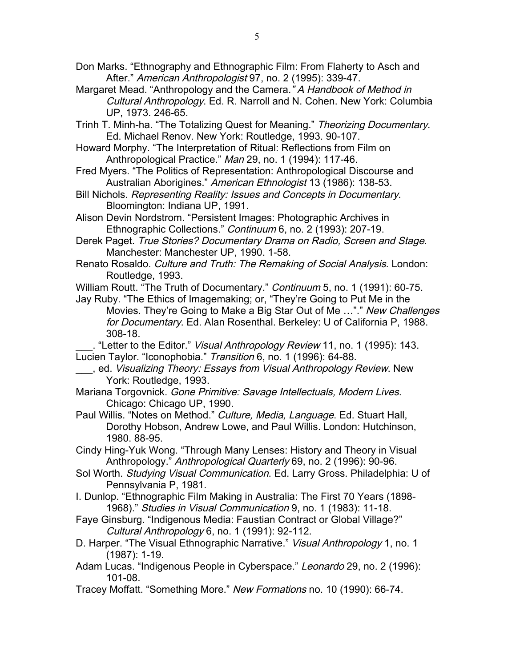Don Marks. "Ethnography and Ethnographic Film: From Flaherty to Asch and After." American Anthropologist 97, no. 2 (1995): 339-47.

- Margaret Mead. "Anthropology and the Camera." A Handbook of Method in Cultural Anthropology. Ed. R. Narroll and N. Cohen. New York: Columbia UP, 1973. 246-65.
- Trinh T. Minh-ha. "The Totalizing Quest for Meaning." Theorizing Documentary. Ed. Michael Renov. New York: Routledge, 1993. 90-107.
- Howard Morphy. "The Interpretation of Ritual: Reflections from Film on Anthropological Practice." Man 29, no. 1 (1994): 117-46.
- Fred Myers. "The Politics of Representation: Anthropological Discourse and Australian Aborigines." American Ethnologist 13 (1986): 138-53.
- Bill Nichols. Representing Reality: Issues and Concepts in Documentary. Bloomington: Indiana UP, 1991.
- Alison Devin Nordstrom. "Persistent Images: Photographic Archives in Ethnographic Collections." Continuum 6, no. 2 (1993): 207-19.
- Derek Paget. True Stories? Documentary Drama on Radio, Screen and Stage. Manchester: Manchester UP, 1990. 1-58.
- Renato Rosaldo. Culture and Truth: The Remaking of Social Analysis. London: Routledge, 1993.
- William Routt. "The Truth of Documentary." Continuum 5, no. 1 (1991): 60-75.
- Jay Ruby. "The Ethics of Imagemaking; or, "They're Going to Put Me in the Movies. They're Going to Make a Big Star Out of Me ..."." New Challenges for Documentary. Ed. Alan Rosenthal. Berkeley: U of California P, 1988. 308-18.

. "Letter to the Editor." *Visual Anthropology Review* 11, no. 1 (1995): 143. Lucien Taylor. "Iconophobia." Transition 6, no. 1 (1996): 64-88.

- \_\_\_, ed. Visualizing Theory: Essays from Visual Anthropology Review. New York: Routledge, 1993.
- Mariana Torgovnick. Gone Primitive: Savage Intellectuals, Modern Lives. Chicago: Chicago UP, 1990.
- Paul Willis. "Notes on Method." Culture, Media, Language. Ed. Stuart Hall, Dorothy Hobson, Andrew Lowe, and Paul Willis. London: Hutchinson, 1980. 88-95.
- Cindy Hing-Yuk Wong. "Through Many Lenses: History and Theory in Visual Anthropology." Anthropological Quarterly 69, no. 2 (1996): 90-96.
- Sol Worth. Studying Visual Communication. Ed. Larry Gross. Philadelphia: U of Pennsylvania P, 1981.
- I. Dunlop. "Ethnographic Film Making in Australia: The First 70 Years (1898- 1968)." Studies in Visual Communication 9, no. 1 (1983): 11-18.
- Faye Ginsburg. "Indigenous Media: Faustian Contract or Global Village?" Cultural Anthropology 6, no. 1 (1991): 92-112.
- D. Harper. "The Visual Ethnographic Narrative." Visual Anthropology 1, no. 1 (1987): 1-19.
- Adam Lucas. "Indigenous People in Cyberspace." Leonardo 29, no. 2 (1996): 101-08.
- Tracey Moffatt. "Something More." New Formations no. 10 (1990): 66-74.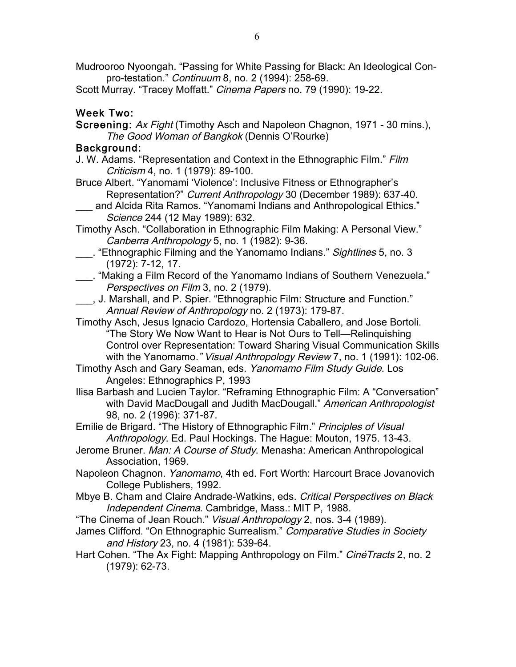Mudrooroo Nyoongah. "Passing for White Passing for Black: An Ideological Conpro-testation." Continuum 8, no. 2 (1994): 258-69.

Scott Murray. "Tracey Moffatt." Cinema Papers no. 79 (1990): 19-22.

# Week Two:

Screening: Ax Fight (Timothy Asch and Napoleon Chagnon, 1971 - 30 mins.), The Good Woman of Bangkok (Dennis O'Rourke)

## Background:

- J. W. Adams. "Representation and Context in the Ethnographic Film." Film Criticism 4, no. 1 (1979): 89-100.
- Bruce Albert. "Yanomami 'Violence': Inclusive Fitness or Ethnographer's Representation?" Current Anthropology 30 (December 1989): 637-40.
- and Alcida Rita Ramos. "Yanomami Indians and Anthropological Ethics." Science 244 (12 May 1989): 632.
- Timothy Asch. "Collaboration in Ethnographic Film Making: A Personal View." Canberra Anthropology 5, no. 1 (1982): 9-36.
- **Ethnographic Filming and the Yanomamo Indians.**" Sightlines 5, no. 3 (1972): 7-12, 17.
- \_\_\_. "Making a Film Record of the Yanomamo Indians of Southern Venezuela." Perspectives on Film 3, no. 2 (1979).
- \_\_\_, J. Marshall, and P. Spier. "Ethnographic Film: Structure and Function." Annual Review of Anthropology no. 2 (1973): 179-87.
- Timothy Asch, Jesus Ignacio Cardozo, Hortensia Caballero, and Jose Bortoli. "The Story We Now Want to Hear is Not Ours to Tell—Relinquishing Control over Representation: Toward Sharing Visual Communication Skills with the Yanomamo." Visual Anthropology Review 7, no. 1 (1991): 102-06.

Timothy Asch and Gary Seaman, eds. Yanomamo Film Study Guide. Los Angeles: Ethnographics P, 1993

Ilisa Barbash and Lucien Taylor. "Reframing Ethnographic Film: A "Conversation" with David MacDougall and Judith MacDougall." American Anthropologist 98, no. 2 (1996): 371-87.

Emilie de Brigard. "The History of Ethnographic Film." Principles of Visual Anthropology. Ed. Paul Hockings. The Hague: Mouton, 1975. 13-43.

- Jerome Bruner. Man: A Course of Study. Menasha: American Anthropological Association, 1969.
- Napoleon Chagnon. Yanomamo, 4th ed. Fort Worth: Harcourt Brace Jovanovich College Publishers, 1992.
- Mbye B. Cham and Claire Andrade-Watkins, eds. Critical Perspectives on Black Independent Cinema. Cambridge, Mass.: MIT P, 1988.
- "The Cinema of Jean Rouch." Visual Anthropology 2, nos. 3-4 (1989).
- James Clifford. "On Ethnographic Surrealism." Comparative Studies in Society and History 23, no. 4 (1981): 539-64.
- Hart Cohen. "The Ax Fight: Mapping Anthropology on Film." *CinéTracts* 2, no. 2 (1979): 62-73.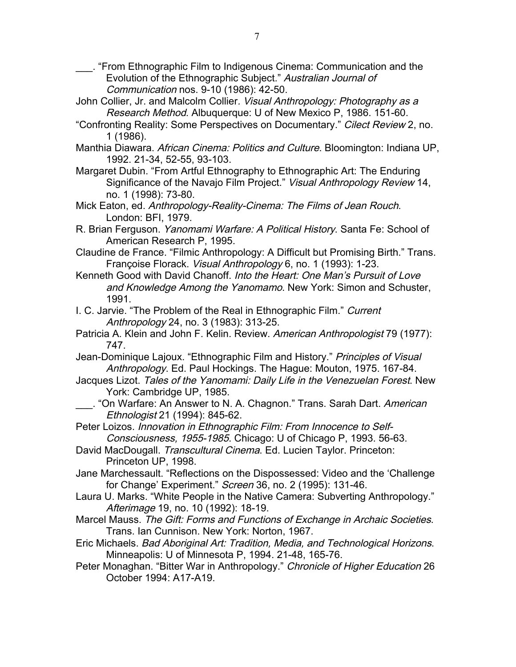- \_\_\_. "From Ethnographic Film to Indigenous Cinema: Communication and the Evolution of the Ethnographic Subject." Australian Journal of Communication nos. 9-10 (1986): 42-50.
- John Collier, Jr. and Malcolm Collier. *Visual Anthropology: Photography as a* Research Method. Albuquerque: U of New Mexico P, 1986. 151-60.
- "Confronting Reality: Some Perspectives on Documentary." Cilect Review 2, no. 1 (1986).
- Manthia Diawara. African Cinema: Politics and Culture. Bloomington: Indiana UP, 1992. 21-34, 52-55, 93-103.
- Margaret Dubin. "From Artful Ethnography to Ethnographic Art: The Enduring Significance of the Navajo Film Project." Visual Anthropology Review 14, no. 1 (1998): 73-80.
- Mick Eaton, ed. Anthropology-Reality-Cinema: The Films of Jean Rouch. London: BFI, 1979.
- R. Brian Ferguson. Yanomami Warfare: A Political History. Santa Fe: School of American Research P, 1995.
- Claudine de France. "Filmic Anthropology: A Difficult but Promising Birth." Trans. Françoise Florack. Visual Anthropology 6, no. 1 (1993): 1-23.
- Kenneth Good with David Chanoff. Into the Heart: One Man's Pursuit of Love and Knowledge Among the Yanomamo. New York: Simon and Schuster, 1991.
- I. C. Jarvie. "The Problem of the Real in Ethnographic Film." Current Anthropology 24, no. 3 (1983): 313-25.
- Patricia A. Klein and John F. Kelin. Review. American Anthropologist 79 (1977): 747.
- Jean-Dominique Lajoux. "Ethnographic Film and History." Principles of Visual Anthropology. Ed. Paul Hockings. The Hague: Mouton, 1975. 167-84.
- Jacques Lizot. Tales of the Yanomami: Daily Life in the Venezuelan Forest. New York: Cambridge UP, 1985.
- . "On Warfare: An Answer to N. A. Chagnon." Trans. Sarah Dart. American Ethnologist 21 (1994): 845-62.
- Peter Loizos. Innovation in Ethnographic Film: From Innocence to Self-Consciousness, 1955-1985. Chicago: U of Chicago P, 1993. 56-63.
- David MacDougall. Transcultural Cinema. Ed. Lucien Taylor. Princeton: Princeton UP, 1998.
- Jane Marchessault. "Reflections on the Dispossessed: Video and the 'Challenge for Change' Experiment." Screen 36, no. 2 (1995): 131-46.
- Laura U. Marks. "White People in the Native Camera: Subverting Anthropology." Afterimage 19, no. 10 (1992): 18-19.
- Marcel Mauss. The Gift: Forms and Functions of Exchange in Archaic Societies. Trans. Ian Cunnison. New York: Norton, 1967.
- Eric Michaels. Bad Aboriginal Art: Tradition, Media, and Technological Horizons. Minneapolis: U of Minnesota P, 1994. 21-48, 165-76.
- Peter Monaghan. "Bitter War in Anthropology." Chronicle of Higher Education 26 October 1994: A17-A19.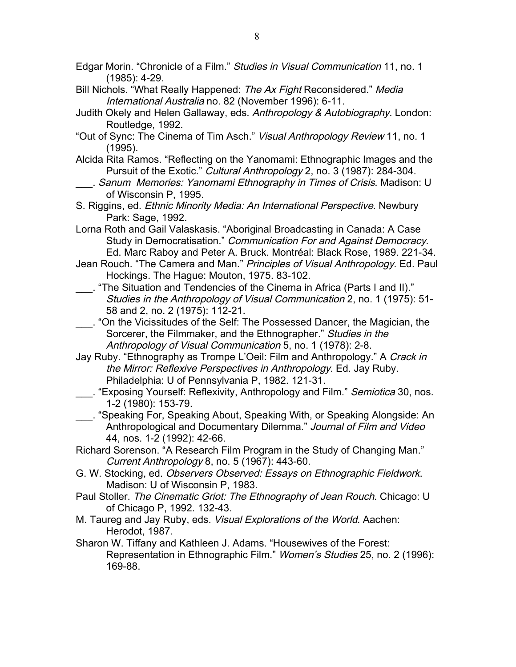- Edgar Morin. "Chronicle of a Film." Studies in Visual Communication 11, no. 1 (1985): 4-29.
- Bill Nichols. "What Really Happened: The Ax Fight Reconsidered." Media International Australia no. 82 (November 1996): 6-11.
- Judith Okely and Helen Gallaway, eds. Anthropology & Autobiography. London: Routledge, 1992.
- "Out of Sync: The Cinema of Tim Asch." Visual Anthropology Review 11, no. 1 (1995).
- Alcida Rita Ramos. "Reflecting on the Yanomami: Ethnographic Images and the Pursuit of the Exotic." Cultural Anthropology 2, no. 3 (1987): 284-304.
- . Sanum Memories: Yanomami Ethnography in Times of Crisis. Madison: U of Wisconsin P, 1995.
- S. Riggins, ed. *Ethnic Minority Media: An International Perspective*. Newbury Park: Sage, 1992.
- Lorna Roth and Gail Valaskasis. "Aboriginal Broadcasting in Canada: A Case Study in Democratisation." Communication For and Against Democracy. Ed. Marc Raboy and Peter A. Bruck. Montréal: Black Rose, 1989. 221-34.
- Jean Rouch. "The Camera and Man." Principles of Visual Anthropology. Ed. Paul Hockings. The Hague: Mouton, 1975. 83-102.
	- \_\_\_. "The Situation and Tendencies of the Cinema in Africa (Parts I and II)." Studies in the Anthropology of Visual Communication 2, no. 1 (1975): 51- 58 and 2, no. 2 (1975): 112-21.
- \_\_\_. "On the Vicissitudes of the Self: The Possessed Dancer, the Magician, the Sorcerer, the Filmmaker, and the Ethnographer." Studies in the Anthropology of Visual Communication 5, no. 1 (1978): 2-8.
- Jay Ruby. "Ethnography as Trompe L'Oeil: Film and Anthropology." A Crack in the Mirror: Reflexive Perspectives in Anthropology. Ed. Jay Ruby. Philadelphia: U of Pennsylvania P, 1982. 121-31.
- **Exposing Yourself: Reflexivity, Anthropology and Film.**" Semiotica 30, nos. 1-2 (1980): 153-79.
- \_\_\_. "Speaking For, Speaking About, Speaking With, or Speaking Alongside: An Anthropological and Documentary Dilemma." Journal of Film and Video 44, nos. 1-2 (1992): 42-66.
- Richard Sorenson. "A Research Film Program in the Study of Changing Man." Current Anthropology 8, no. 5 (1967): 443-60.
- G. W. Stocking, ed. Observers Observed: Essays on Ethnographic Fieldwork. Madison: U of Wisconsin P, 1983.
- Paul Stoller. The Cinematic Griot: The Ethnography of Jean Rouch. Chicago: U of Chicago P, 1992. 132-43.
- M. Taureg and Jay Ruby, eds. Visual Explorations of the World. Aachen: Herodot, 1987.
- Sharon W. Tiffany and Kathleen J. Adams. "Housewives of the Forest: Representation in Ethnographic Film." Women's Studies 25, no. 2 (1996): 169-88.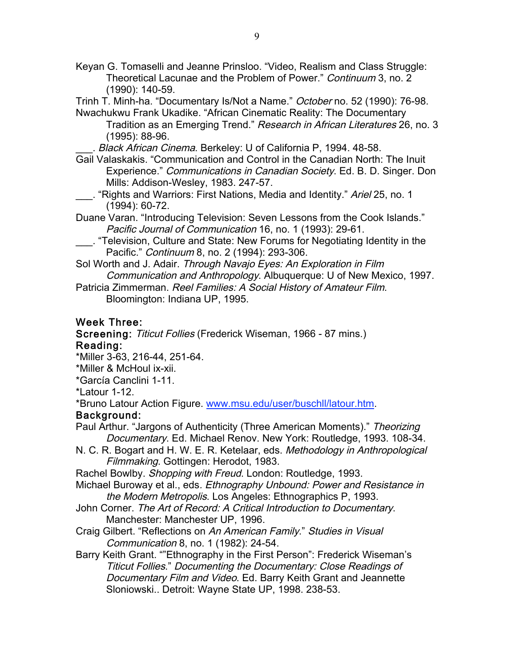Keyan G. Tomaselli and Jeanne Prinsloo. "Video, Realism and Class Struggle: Theoretical Lacunae and the Problem of Power." Continuum 3, no. 2 (1990): 140-59.

Trinh T. Minh-ha. "Documentary Is/Not a Name." October no. 52 (1990): 76-98.

Nwachukwu Frank Ukadike. "African Cinematic Reality: The Documentary Tradition as an Emerging Trend." Research in African Literatures 26, no. 3 (1995): 88-96.

Black African Cinema. Berkeley: U of California P, 1994. 48-58.

- Gail Valaskakis. "Communication and Control in the Canadian North: The Inuit Experience." Communications in Canadian Society. Ed. B. D. Singer. Don Mills: Addison-Wesley, 1983. 247-57.
- \_\_\_. "Rights and Warriors: First Nations, Media and Identity." Ariel 25, no. 1 (1994): 60-72.

Duane Varan. "Introducing Television: Seven Lessons from the Cook Islands." Pacific Journal of Communication 16, no. 1 (1993): 29-61.

\_\_\_. "Television, Culture and State: New Forums for Negotiating Identity in the Pacific." Continuum 8, no. 2 (1994): 293-306.

Sol Worth and J. Adair. Through Navajo Eyes: An Exploration in Film Communication and Anthropology. Albuquerque: U of New Mexico, 1997.

Patricia Zimmerman. Reel Families: A Social History of Amateur Film. Bloomington: Indiana UP, 1995.

## Week Three:

Screening: Titicut Follies (Frederick Wiseman, 1966 - 87 mins.) Reading:

\*Miller 3-63, 216-44, 251-64.

\*Miller & McHoul ix-xii.

\*García Canclini 1-11.

\*Latour 1-12.

\*Bruno Latour Action Figure. www.msu.edu/user/buschll/latour.htm.

# Background:

- Paul Arthur. "Jargons of Authenticity (Three American Moments)." Theorizing Documentary. Ed. Michael Renov. New York: Routledge, 1993. 108-34.
- N. C. R. Bogart and H. W. E. R. Ketelaar, eds. Methodology in Anthropological Filmmaking. Gottingen: Herodot, 1983.

Rachel Bowlby. Shopping with Freud. London: Routledge, 1993.

Michael Buroway et al., eds. Ethnography Unbound: Power and Resistance in the Modern Metropolis. Los Angeles: Ethnographics P, 1993.

- John Corner. The Art of Record: A Critical Introduction to Documentary. Manchester: Manchester UP, 1996.
- Craig Gilbert. "Reflections on An American Family." Studies in Visual Communication 8, no. 1 (1982): 24-54.

Barry Keith Grant. ""Ethnography in the First Person": Frederick Wiseman's Titicut Follies." Documenting the Documentary: Close Readings of Documentary Film and Video. Ed. Barry Keith Grant and Jeannette Sloniowski.. Detroit: Wayne State UP, 1998. 238-53.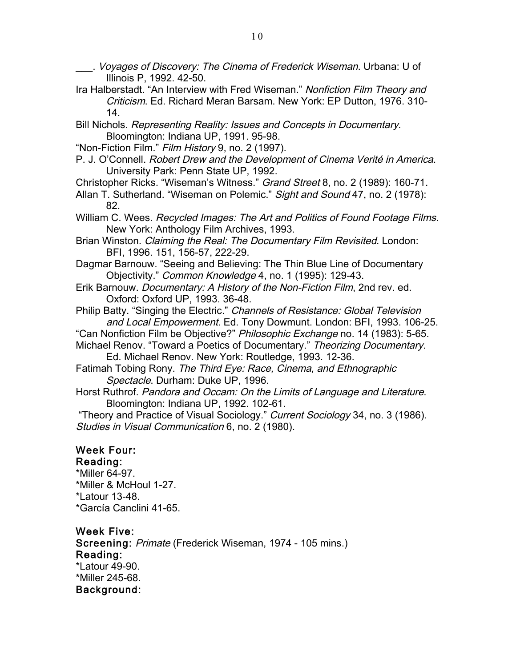\_\_\_. Voyages of Discovery: The Cinema of Frederick Wiseman. Urbana: U of Illinois P, 1992. 42-50.

Ira Halberstadt. "An Interview with Fred Wiseman." Nonfiction Film Theory and Criticism. Ed. Richard Meran Barsam. New York: EP Dutton, 1976. 310- 14.

Bill Nichols. Representing Reality: Issues and Concepts in Documentary. Bloomington: Indiana UP, 1991. 95-98.

- "Non-Fiction Film." Film History 9, no. 2 (1997).
- P. J. O'Connell. Robert Drew and the Development of Cinema Verité in America. University Park: Penn State UP, 1992.

Christopher Ricks. "Wiseman's Witness." Grand Street 8, no. 2 (1989): 160-71.

- Allan T. Sutherland. "Wiseman on Polemic." Sight and Sound 47, no. 2 (1978): 82.
- William C. Wees. Recycled Images: The Art and Politics of Found Footage Films. New York: Anthology Film Archives, 1993.
- Brian Winston. Claiming the Real: The Documentary Film Revisited. London: BFI, 1996. 151, 156-57, 222-29.
- Dagmar Barnouw. "Seeing and Believing: The Thin Blue Line of Documentary Objectivity." Common Knowledge 4, no. 1 (1995): 129-43.
- Erik Barnouw. Documentary: A History of the Non-Fiction Film, 2nd rev. ed. Oxford: Oxford UP, 1993. 36-48.
- Philip Batty. "Singing the Electric." Channels of Resistance: Global Television and Local Empowerment. Ed. Tony Dowmunt. London: BFI, 1993. 106-25.
- "Can Nonfiction Film be Objective?" Philosophic Exchange no. 14 (1983): 5-65. Michael Renov. "Toward a Poetics of Documentary." Theorizing Documentary.

Ed. Michael Renov. New York: Routledge, 1993. 12-36.

- Fatimah Tobing Rony. The Third Eye: Race, Cinema, and Ethnographic Spectacle. Durham: Duke UP, 1996.
- Horst Ruthrof. Pandora and Occam: On the Limits of Language and Literature. Bloomington: Indiana UP, 1992. 102-61.

"Theory and Practice of Visual Sociology." Current Sociology 34, no. 3 (1986). Studies in Visual Communication 6, no. 2 (1980).

#### Week Four: Reading:

\*Miller 64-97. \*Miller & McHoul 1-27. \*Latour 13-48. \*García Canclini 41-65.

Week Five: Screening: Primate (Frederick Wiseman, 1974 - 105 mins.) Reading: \*Latour 49-90. \*Miller 245-68. Background: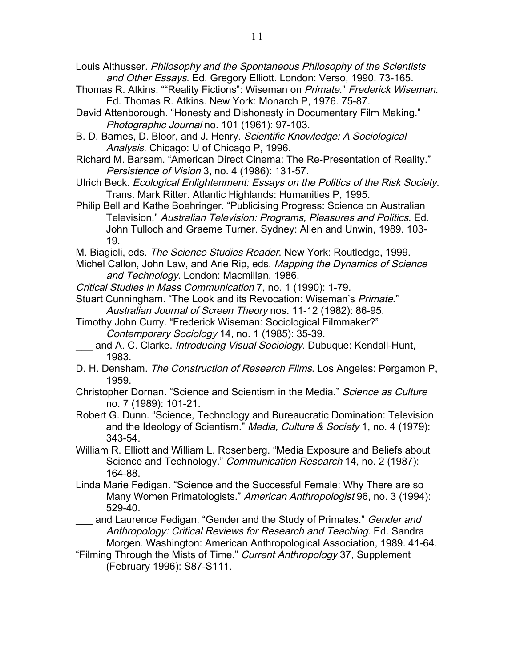Louis Althusser. Philosophy and the Spontaneous Philosophy of the Scientists and Other Essays. Ed. Gregory Elliott. London: Verso, 1990. 73-165.

- Thomas R. Atkins. ""Reality Fictions": Wiseman on Primate." Frederick Wiseman. Ed. Thomas R. Atkins. New York: Monarch P, 1976. 75-87.
- David Attenborough. "Honesty and Dishonesty in Documentary Film Making." Photographic Journal no. 101 (1961): 97-103.
- B. D. Barnes, D. Bloor, and J. Henry. Scientific Knowledge: A Sociological Analysis. Chicago: U of Chicago P, 1996.
- Richard M. Barsam. "American Direct Cinema: The Re-Presentation of Reality." Persistence of Vision 3, no. 4 (1986): 131-57.
- Ulrich Beck. Ecological Enlightenment: Essays on the Politics of the Risk Society. Trans. Mark Ritter. Atlantic Highlands: Humanities P, 1995.
- Philip Bell and Kathe Boehringer. "Publicising Progress: Science on Australian Television." Australian Television: Programs, Pleasures and Politics. Ed. John Tulloch and Graeme Turner. Sydney: Allen and Unwin, 1989. 103- 19.
- M. Biagioli, eds. The Science Studies Reader. New York: Routledge, 1999.
- Michel Callon, John Law, and Arie Rip, eds. Mapping the Dynamics of Science and Technology. London: Macmillan, 1986.
- Critical Studies in Mass Communication 7, no. 1 (1990): 1-79.
- Stuart Cunningham. "The Look and its Revocation: Wiseman's Primate." Australian Journal of Screen Theory nos. 11-12 (1982): 86-95.
- Timothy John Curry. "Frederick Wiseman: Sociological Filmmaker?" Contemporary Sociology 14, no. 1 (1985): 35-39.
- and A. C. Clarke. *Introducing Visual Sociology*. Dubuque: Kendall-Hunt, 1983.
- D. H. Densham. The Construction of Research Films. Los Angeles: Pergamon P. 1959.
- Christopher Dornan. "Science and Scientism in the Media." Science as Culture no. 7 (1989): 101-21.
- Robert G. Dunn. "Science, Technology and Bureaucratic Domination: Television and the Ideology of Scientism." Media, Culture & Society 1, no. 4 (1979): 343-54.
- William R. Elliott and William L. Rosenberg. "Media Exposure and Beliefs about Science and Technology." Communication Research 14, no. 2 (1987): 164-88.
- Linda Marie Fedigan. "Science and the Successful Female: Why There are so Many Women Primatologists." American Anthropologist 96, no. 3 (1994): 529-40.
- and Laurence Fedigan. "Gender and the Study of Primates." Gender and Anthropology: Critical Reviews for Research and Teaching. Ed. Sandra Morgen. Washington: American Anthropological Association, 1989. 41-64.
- "Filming Through the Mists of Time." Current Anthropology 37, Supplement (February 1996): S87-S111.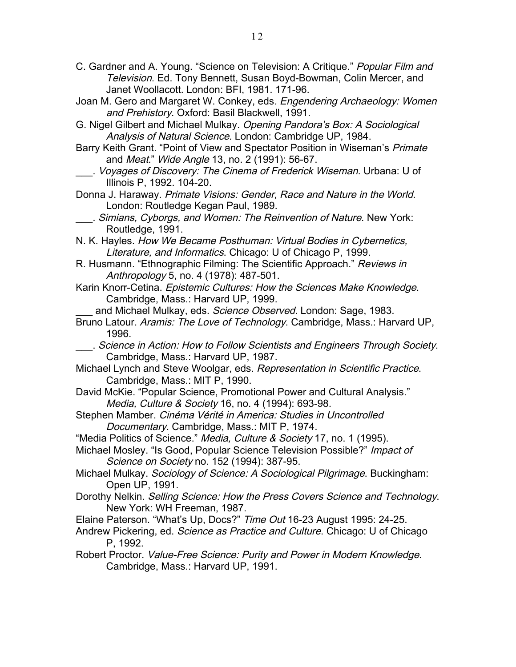C. Gardner and A. Young. "Science on Television: A Critique." Popular Film and Television. Ed. Tony Bennett, Susan Boyd-Bowman, Colin Mercer, and Janet Woollacott. London: BFI, 1981. 171-96.

Joan M. Gero and Margaret W. Conkey, eds. Engendering Archaeology: Women and Prehistory. Oxford: Basil Blackwell, 1991.

G. Nigel Gilbert and Michael Mulkay. Opening Pandora's Box: A Sociological Analysis of Natural Science. London: Cambridge UP, 1984.

Barry Keith Grant. "Point of View and Spectator Position in Wiseman's Primate and Meat." Wide Angle 13, no. 2 (1991): 56-67.

\_\_\_. Voyages of Discovery: The Cinema of Frederick Wiseman. Urbana: U of Illinois P, 1992. 104-20.

Donna J. Haraway. Primate Visions: Gender, Race and Nature in the World. London: Routledge Kegan Paul, 1989.

\_\_\_. Simians, Cyborgs, and Women: The Reinvention of Nature. New York: Routledge, 1991.

N. K. Hayles. How We Became Posthuman: Virtual Bodies in Cybernetics, Literature, and Informatics. Chicago: U of Chicago P, 1999.

- R. Husmann. "Ethnographic Filming: The Scientific Approach." Reviews in Anthropology 5, no. 4 (1978): 487-501.
- Karin Knorr-Cetina. Epistemic Cultures: How the Sciences Make Knowledge. Cambridge, Mass.: Harvard UP, 1999.

and Michael Mulkay, eds. Science Observed. London: Sage, 1983.

- Bruno Latour. Aramis: The Love of Technology. Cambridge, Mass.: Harvard UP, 1996.
- \_\_\_. Science in Action: How to Follow Scientists and Engineers Through Society. Cambridge, Mass.: Harvard UP, 1987.
- Michael Lynch and Steve Woolgar, eds. Representation in Scientific Practice. Cambridge, Mass.: MIT P, 1990.
- David McKie. "Popular Science, Promotional Power and Cultural Analysis." Media, Culture & Society 16, no. 4 (1994): 693-98.
- Stephen Mamber. Cinéma Vérité in America: Studies in Uncontrolled Documentary. Cambridge, Mass.: MIT P, 1974.

"Media Politics of Science." *Media, Culture & Society* 17, no. 1 (1995).

Michael Mosley. "Is Good, Popular Science Television Possible?" Impact of Science on Society no. 152 (1994): 387-95.

- Michael Mulkay. Sociology of Science: A Sociological Pilgrimage. Buckingham: Open UP, 1991.
- Dorothy Nelkin. Selling Science: How the Press Covers Science and Technology. New York: WH Freeman, 1987.
- Elaine Paterson. "What's Up, Docs?" Time Out 16-23 August 1995: 24-25.
- Andrew Pickering, ed. Science as Practice and Culture. Chicago: U of Chicago P, 1992.
- Robert Proctor. Value-Free Science: Purity and Power in Modern Knowledge. Cambridge, Mass.: Harvard UP, 1991.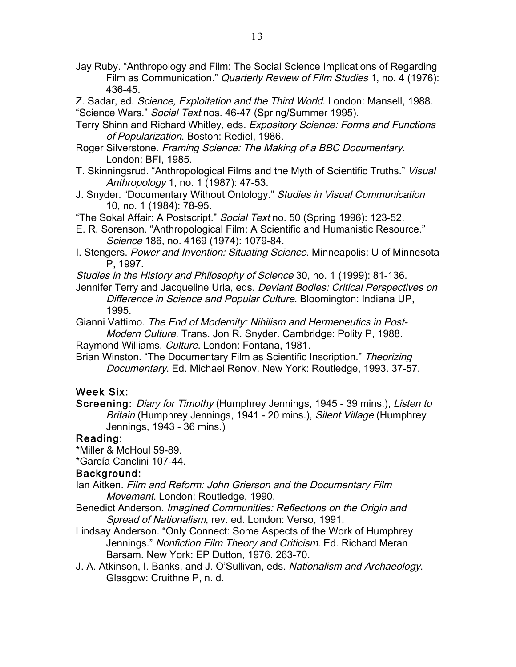- Jay Ruby. "Anthropology and Film: The Social Science Implications of Regarding Film as Communication." Quarterly Review of Film Studies 1, no. 4 (1976): 436-45.
- Z. Sadar, ed. Science, Exploitation and the Third World. London: Mansell, 1988. "Science Wars." Social Text nos. 46-47 (Spring/Summer 1995).
- Terry Shinn and Richard Whitley, eds. Expository Science: Forms and Functions of Popularization. Boston: Rediel, 1986.
- Roger Silverstone. Framing Science: The Making of a BBC Documentary. London: BFI, 1985.
- T. Skinningsrud. "Anthropological Films and the Myth of Scientific Truths." Visual Anthropology 1, no. 1 (1987): 47-53.
- J. Snyder. "Documentary Without Ontology." Studies in Visual Communication 10, no. 1 (1984): 78-95.

"The Sokal Affair: A Postscript." Social Text no. 50 (Spring 1996): 123-52.

- E. R. Sorenson. "Anthropological Film: A Scientific and Humanistic Resource." Science 186, no. 4169 (1974): 1079-84.
- I. Stengers. Power and Invention: Situating Science. Minneapolis: U of Minnesota P, 1997.
- Studies in the History and Philosophy of Science 30, no. 1 (1999): 81-136.

Jennifer Terry and Jacqueline Urla, eds. Deviant Bodies: Critical Perspectives on Difference in Science and Popular Culture. Bloomington: Indiana UP, 1995.

Gianni Vattimo. The End of Modernity: Nihilism and Hermeneutics in Post-Modern Culture. Trans. Jon R. Snyder. Cambridge: Polity P, 1988.

Raymond Williams. Culture. London: Fontana, 1981.

Brian Winston. "The Documentary Film as Scientific Inscription." Theorizing Documentary. Ed. Michael Renov. New York: Routledge, 1993. 37-57.

# Week Six:

Screening: *Diary for Timothy* (Humphrey Jennings, 1945 - 39 mins.), Listen to Britain (Humphrey Jennings, 1941 - 20 mins.), Silent Village (Humphrey Jennings, 1943 - 36 mins.)

# Reading:

\*Miller & McHoul 59-89.

\*García Canclini 107-44.

- Ian Aitken. Film and Reform: John Grierson and the Documentary Film Movement. London: Routledge, 1990.
- Benedict Anderson. Imagined Communities: Reflections on the Origin and Spread of Nationalism, rev. ed. London: Verso, 1991.
- Lindsay Anderson. "Only Connect: Some Aspects of the Work of Humphrey Jennings." Nonfiction Film Theory and Criticism. Ed. Richard Meran Barsam. New York: EP Dutton, 1976. 263-70.
- J. A. Atkinson, I. Banks, and J. O'Sullivan, eds. Nationalism and Archaeology. Glasgow: Cruithne P, n. d.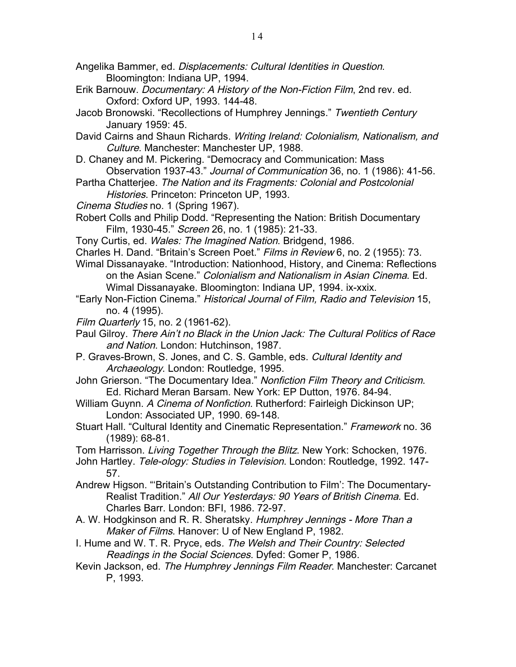- Angelika Bammer, ed. Displacements: Cultural Identities in Question. Bloomington: Indiana UP, 1994.
- Erik Barnouw. Documentary: A History of the Non-Fiction Film, 2nd rev. ed. Oxford: Oxford UP, 1993. 144-48.
- Jacob Bronowski. "Recollections of Humphrey Jennings." Twentieth Century January 1959: 45.
- David Cairns and Shaun Richards. Writing Ireland: Colonialism, Nationalism, and Culture. Manchester: Manchester UP, 1988.
- D. Chaney and M. Pickering. "Democracy and Communication: Mass Observation 1937-43." Journal of Communication 36, no. 1 (1986): 41-56.
- Partha Chatterjee. The Nation and its Fragments: Colonial and Postcolonial Histories. Princeton: Princeton UP, 1993.
- Cinema Studies no. 1 (Spring 1967).
- Robert Colls and Philip Dodd. "Representing the Nation: British Documentary Film, 1930-45." Screen 26, no. 1 (1985): 21-33.
- Tony Curtis, ed. Wales: The Imagined Nation. Bridgend, 1986.
- Charles H. Dand. "Britain's Screen Poet." Films in Review 6, no. 2 (1955): 73.
- Wimal Dissanayake. "Introduction: Nationhood, History, and Cinema: Reflections on the Asian Scene." Colonialism and Nationalism in Asian Cinema. Ed. Wimal Dissanayake. Bloomington: Indiana UP, 1994. ix-xxix.
- "Early Non-Fiction Cinema." Historical Journal of Film, Radio and Television 15, no. 4 (1995).
- Film Quarterly 15, no. 2 (1961-62).
- Paul Gilroy. There Ain't no Black in the Union Jack: The Cultural Politics of Race and Nation. London: Hutchinson, 1987.
- P. Graves-Brown, S. Jones, and C. S. Gamble, eds. Cultural Identity and Archaeology. London: Routledge, 1995.
- John Grierson. "The Documentary Idea." Nonfiction Film Theory and Criticism. Ed. Richard Meran Barsam. New York: EP Dutton, 1976. 84-94.
- William Guynn. A Cinema of Nonfiction. Rutherford: Fairleigh Dickinson UP; London: Associated UP, 1990. 69-148.
- Stuart Hall. "Cultural Identity and Cinematic Representation." Framework no. 36 (1989): 68-81.
- Tom Harrisson. Living Together Through the Blitz. New York: Schocken, 1976.
- John Hartley. Tele-ology: Studies in Television. London: Routledge, 1992. 147-57.
- Andrew Higson. "'Britain's Outstanding Contribution to Film': The Documentary-Realist Tradition." All Our Yesterdays: 90 Years of British Cinema. Ed. Charles Barr. London: BFI, 1986. 72-97.
- A. W. Hodgkinson and R. R. Sheratsky. Humphrey Jennings More Than a Maker of Films. Hanover: U of New England P, 1982.
- I. Hume and W. T. R. Pryce, eds. The Welsh and Their Country: Selected Readings in the Social Sciences. Dyfed: Gomer P, 1986.
- Kevin Jackson, ed. The Humphrey Jennings Film Reader. Manchester: Carcanet P, 1993.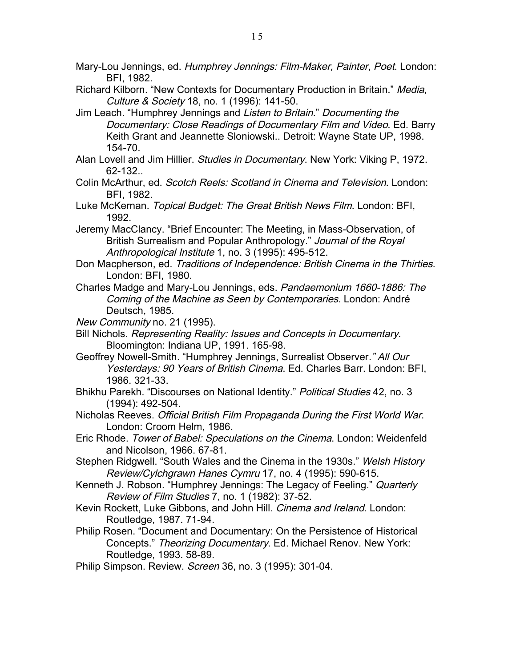Mary-Lou Jennings, ed. Humphrey Jennings: Film-Maker, Painter, Poet. London: BFI, 1982.

Richard Kilborn. "New Contexts for Documentary Production in Britain." Media, Culture & Society 18, no. 1 (1996): 141-50.

Jim Leach. "Humphrey Jennings and Listen to Britain." Documenting the Documentary: Close Readings of Documentary Film and Video. Ed. Barry Keith Grant and Jeannette Sloniowski.. Detroit: Wayne State UP, 1998. 154-70.

Alan Lovell and Jim Hillier. *Studies in Documentary*. New York: Viking P, 1972. 62-132..

Colin McArthur, ed. Scotch Reels: Scotland in Cinema and Television. London: BFI, 1982.

Luke McKernan. *Topical Budget: The Great British News Film*. London: BFI, 1992.

Jeremy MacClancy. "Brief Encounter: The Meeting, in Mass-Observation, of British Surrealism and Popular Anthropology." Journal of the Royal Anthropological Institute 1, no. 3 (1995): 495-512.

Don Macpherson, ed. Traditions of Independence: British Cinema in the Thirties. London: BFI, 1980.

Charles Madge and Mary-Lou Jennings, eds. Pandaemonium 1660-1886: The Coming of the Machine as Seen by Contemporaries. London: André Deutsch, 1985.

New Community no. 21 (1995).

Bill Nichols. Representing Reality: Issues and Concepts in Documentary. Bloomington: Indiana UP, 1991. 165-98.

Geoffrey Nowell-Smith. "Humphrey Jennings, Surrealist Observer." All Our Yesterdays: 90 Years of British Cinema. Ed. Charles Barr. London: BFI, 1986. 321-33.

Bhikhu Parekh. "Discourses on National Identity." Political Studies 42, no. 3 (1994): 492-504.

Nicholas Reeves. Official British Film Propaganda During the First World War. London: Croom Helm, 1986.

Eric Rhode. Tower of Babel: Speculations on the Cinema. London: Weidenfeld and Nicolson, 1966. 67-81.

Stephen Ridgwell. "South Wales and the Cinema in the 1930s." Welsh History Review/Cylchgrawn Hanes Cymru 17, no. 4 (1995): 590-615.

Kenneth J. Robson. "Humphrey Jennings: The Legacy of Feeling." Quarterly Review of Film Studies 7, no. 1 (1982): 37-52.

Kevin Rockett, Luke Gibbons, and John Hill. *Cinema and Ireland*. London: Routledge, 1987. 71-94.

Philip Rosen. "Document and Documentary: On the Persistence of Historical Concepts." Theorizing Documentary. Ed. Michael Renov. New York: Routledge, 1993. 58-89.

Philip Simpson. Review. Screen 36, no. 3 (1995): 301-04.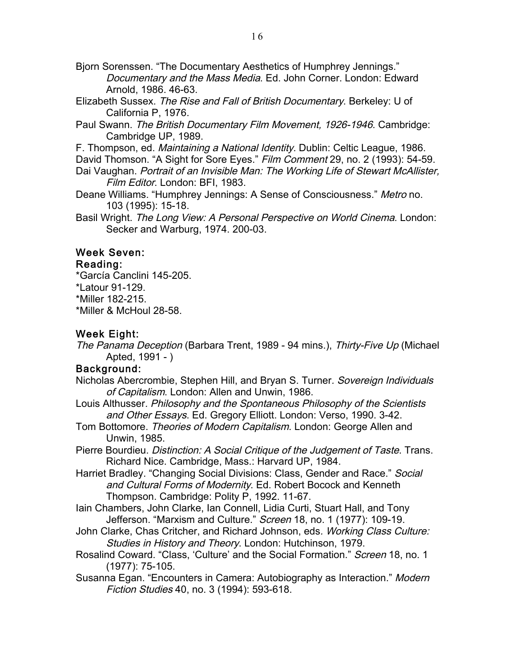Bjorn Sorenssen. "The Documentary Aesthetics of Humphrey Jennings." Documentary and the Mass Media. Ed. John Corner. London: Edward Arnold, 1986. 46-63.

- Elizabeth Sussex. The Rise and Fall of British Documentary. Berkeley: U of California P, 1976.
- Paul Swann. The British Documentary Film Movement, 1926-1946. Cambridge: Cambridge UP, 1989.
- F. Thompson, ed. Maintaining a National Identity. Dublin: Celtic League, 1986.
- David Thomson. "A Sight for Sore Eyes." Film Comment 29, no. 2 (1993): 54-59.
- Dai Vaughan. Portrait of an Invisible Man: The Working Life of Stewart McAllister, Film Editor. London: BFI, 1983.
- Deane Williams. "Humphrey Jennings: A Sense of Consciousness." Metro no. 103 (1995): 15-18.
- Basil Wright. The Long View: A Personal Perspective on World Cinema. London: Secker and Warburg, 1974. 200-03.

# Week Seven:

#### Reading:

\*García Canclini 145-205. \*Latour 91-129. \*Miller 182-215. \*Miller & McHoul 28-58.

## Week Eight:

The Panama Deception (Barbara Trent, 1989 - 94 mins.), Thirty-Five Up (Michael Apted, 1991 - )

- Nicholas Abercrombie, Stephen Hill, and Bryan S. Turner. Sovereign Individuals of Capitalism. London: Allen and Unwin, 1986.
- Louis Althusser. Philosophy and the Spontaneous Philosophy of the Scientists and Other Essays. Ed. Gregory Elliott. London: Verso, 1990. 3-42.
- Tom Bottomore. Theories of Modern Capitalism. London: George Allen and Unwin, 1985.
- Pierre Bourdieu. Distinction: A Social Critique of the Judgement of Taste. Trans. Richard Nice. Cambridge, Mass.: Harvard UP, 1984.
- Harriet Bradley. "Changing Social Divisions: Class, Gender and Race." Social and Cultural Forms of Modernity. Ed. Robert Bocock and Kenneth Thompson. Cambridge: Polity P, 1992. 11-67.
- Iain Chambers, John Clarke, Ian Connell, Lidia Curti, Stuart Hall, and Tony Jefferson. "Marxism and Culture." Screen 18, no. 1 (1977): 109-19.
- John Clarke, Chas Critcher, and Richard Johnson, eds. Working Class Culture: Studies in History and Theory. London: Hutchinson, 1979.
- Rosalind Coward. "Class, 'Culture' and the Social Formation." Screen 18, no. 1 (1977): 75-105.
- Susanna Egan. "Encounters in Camera: Autobiography as Interaction." Modern Fiction Studies 40, no. 3 (1994): 593-618.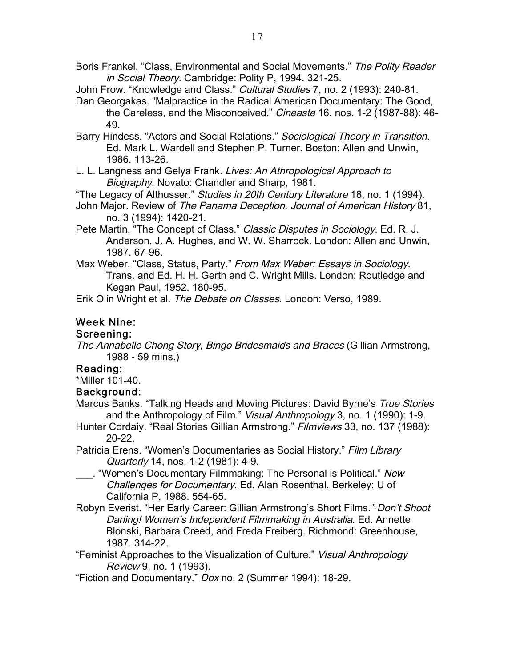Boris Frankel. "Class, Environmental and Social Movements." The Polity Reader in Social Theory. Cambridge: Polity P, 1994. 321-25.

John Frow. "Knowledge and Class." Cultural Studies 7, no. 2 (1993): 240-81.

Dan Georgakas. "Malpractice in the Radical American Documentary: The Good, the Careless, and the Misconceived." Cineaste 16, nos. 1-2 (1987-88): 46- 49.

Barry Hindess. "Actors and Social Relations." Sociological Theory in Transition. Ed. Mark L. Wardell and Stephen P. Turner. Boston: Allen and Unwin, 1986. 113-26.

L. L. Langness and Gelya Frank. Lives: An Athropological Approach to Biography. Novato: Chandler and Sharp, 1981.

"The Legacy of Althusser." Studies in 20th Century Literature 18, no. 1 (1994).

John Major. Review of The Panama Deception. Journal of American History 81, no. 3 (1994): 1420-21.

Pete Martin. "The Concept of Class." Classic Disputes in Sociology. Ed. R. J. Anderson, J. A. Hughes, and W. W. Sharrock. London: Allen and Unwin, 1987. 67-96.

Max Weber. "Class, Status, Party." From Max Weber: Essays in Sociology. Trans. and Ed. H. H. Gerth and C. Wright Mills. London: Routledge and Kegan Paul, 1952. 180-95.

Erik Olin Wright et al. The Debate on Classes. London: Verso, 1989.

# Week Nine:

### Screening:

The Annabelle Chong Story, Bingo Bridesmaids and Braces (Gillian Armstrong, 1988 - 59 mins.)

### Reading:

\*Miller 101-40.

### Background:

Marcus Banks. "Talking Heads and Moving Pictures: David Byrne's True Stories and the Anthropology of Film." Visual Anthropology 3, no. 1 (1990): 1-9.

Hunter Cordaiy. "Real Stories Gillian Armstrong." Filmviews 33, no. 137 (1988): 20-22.

Patricia Erens. "Women's Documentaries as Social History." Film Library Quarterly 14, nos. 1-2 (1981): 4-9.

. "Women's Documentary Filmmaking: The Personal is Political." New Challenges for Documentary. Ed. Alan Rosenthal. Berkeley: U of California P, 1988. 554-65.

Robyn Everist. "Her Early Career: Gillian Armstrong's Short Films." Don't Shoot Darling! Women's Independent Filmmaking in Australia. Ed. Annette Blonski, Barbara Creed, and Freda Freiberg. Richmond: Greenhouse, 1987. 314-22.

"Feminist Approaches to the Visualization of Culture." Visual Anthropology Review 9, no. 1 (1993).

"Fiction and Documentary." Dox no. 2 (Summer 1994): 18-29.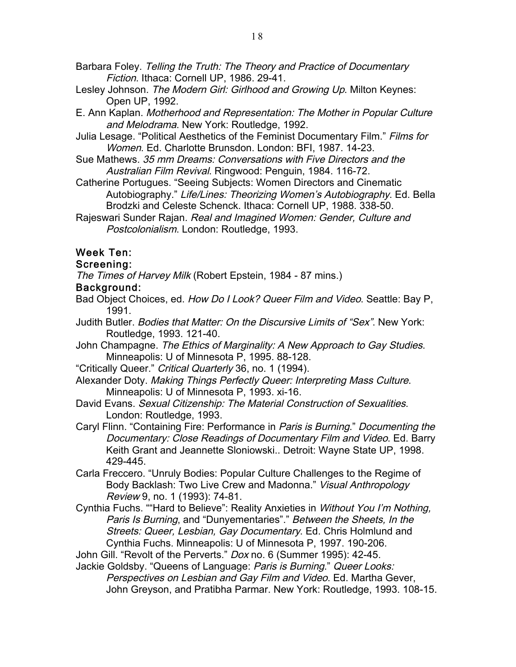- Barbara Foley. Telling the Truth: The Theory and Practice of Documentary Fiction. Ithaca: Cornell UP, 1986. 29-41.
- Lesley Johnson. The Modern Girl: Girlhood and Growing Up. Milton Keynes: Open UP, 1992.
- E. Ann Kaplan. Motherhood and Representation: The Mother in Popular Culture and Melodrama. New York: Routledge, 1992.
- Julia Lesage. "Political Aesthetics of the Feminist Documentary Film." Films for Women. Ed. Charlotte Brunsdon. London: BFI, 1987. 14-23.
- Sue Mathews. 35 mm Dreams: Conversations with Five Directors and the Australian Film Revival. Ringwood: Penguin, 1984. 116-72.
- Catherine Portugues. "Seeing Subjects: Women Directors and Cinematic Autobiography." Life/Lines: Theorizing Women's Autobiography. Ed. Bella Brodzki and Celeste Schenck. Ithaca: Cornell UP, 1988. 338-50.
- Rajeswari Sunder Rajan. Real and Imagined Women: Gender, Culture and Postcolonialism. London: Routledge, 1993.

# Week Ten:

### Screening:

The Times of Harvey Milk (Robert Epstein, 1984 - 87 mins.)

### Background:

- Bad Object Choices, ed. How Do I Look? Queer Film and Video. Seattle: Bay P, 1991.
- Judith Butler. Bodies that Matter: On the Discursive Limits of "Sex". New York: Routledge, 1993. 121-40.
- John Champagne. The Ethics of Marginality: A New Approach to Gay Studies. Minneapolis: U of Minnesota P, 1995. 88-128.
- "Critically Queer." Critical Quarterly 36, no. 1 (1994).
- Alexander Doty. Making Things Perfectly Queer: Interpreting Mass Culture. Minneapolis: U of Minnesota P, 1993. xi-16.
- David Evans. Sexual Citizenship: The Material Construction of Sexualities. London: Routledge, 1993.
- Caryl Flinn. "Containing Fire: Performance in Paris is Burning." Documenting the Documentary: Close Readings of Documentary Film and Video. Ed. Barry Keith Grant and Jeannette Sloniowski.. Detroit: Wayne State UP, 1998. 429-445.
- Carla Freccero. "Unruly Bodies: Popular Culture Challenges to the Regime of Body Backlash: Two Live Crew and Madonna." Visual Anthropology Review 9, no. 1 (1993): 74-81.
- Cynthia Fuchs. ""Hard to Believe": Reality Anxieties in Without You I'm Nothing, Paris Is Burning, and "Dunyementaries"." Between the Sheets, In the Streets: Queer, Lesbian, Gay Documentary. Ed. Chris Holmlund and Cynthia Fuchs. Minneapolis: U of Minnesota P, 1997. 190-206.

John Gill. "Revolt of the Perverts." Dox no. 6 (Summer 1995): 42-45.

Jackie Goldsby. "Queens of Language: Paris is Burning." Queer Looks: Perspectives on Lesbian and Gay Film and Video. Ed. Martha Gever, John Greyson, and Pratibha Parmar. New York: Routledge, 1993. 108-15.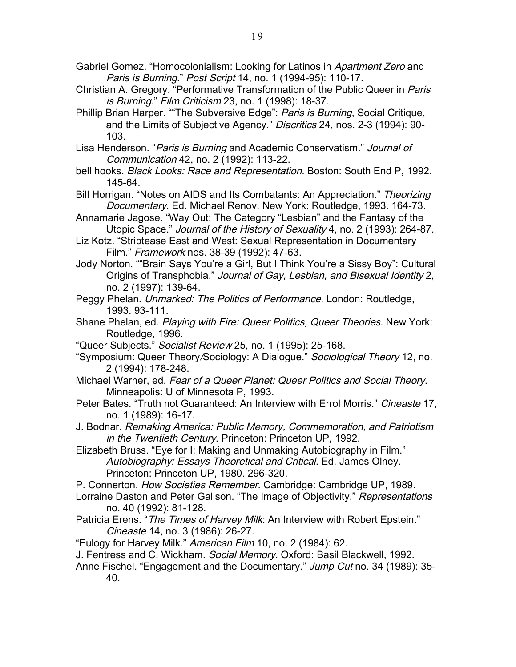- Gabriel Gomez. "Homocolonialism: Looking for Latinos in Apartment Zero and Paris is Burning." Post Script 14, no. 1 (1994-95): 110-17.
- Christian A. Gregory. "Performative Transformation of the Public Queer in Paris is Burning." Film Criticism 23, no. 1 (1998): 18-37.
- Phillip Brian Harper. ""The Subversive Edge": Paris is Burning, Social Critique, and the Limits of Subjective Agency." Diacritics 24, nos. 2-3 (1994): 90-103.
- Lisa Henderson. "Paris is Burning and Academic Conservatism." Journal of Communication 42, no. 2 (1992): 113-22.
- bell hooks. Black Looks: Race and Representation. Boston: South End P, 1992. 145-64.
- Bill Horrigan. "Notes on AIDS and Its Combatants: An Appreciation." Theorizing Documentary. Ed. Michael Renov. New York: Routledge, 1993. 164-73.
- Annamarie Jagose. "Way Out: The Category "Lesbian" and the Fantasy of the Utopic Space." Journal of the History of Sexuality 4, no. 2 (1993): 264-87.
- Liz Kotz. "Striptease East and West: Sexual Representation in Documentary Film." Framework nos. 38-39 (1992): 47-63.
- Jody Norton. ""Brain Says You're a Girl, But I Think You're a Sissy Boy": Cultural Origins of Transphobia." Journal of Gay, Lesbian, and Bisexual Identity 2, no. 2 (1997): 139-64.
- Peggy Phelan. Unmarked: The Politics of Performance. London: Routledge, 1993. 93-111.
- Shane Phelan, ed. Playing with Fire: Queer Politics, Queer Theories. New York: Routledge, 1996.
- "Queer Subjects." Socialist Review 25, no. 1 (1995): 25-168.
- "Symposium: Queer Theory/Sociology: A Dialogue." Sociological Theory 12, no. 2 (1994): 178-248.
- Michael Warner, ed. Fear of a Queer Planet: Queer Politics and Social Theory. Minneapolis: U of Minnesota P, 1993.
- Peter Bates. "Truth not Guaranteed: An Interview with Errol Morris." Cineaste 17, no. 1 (1989): 16-17.
- J. Bodnar. Remaking America: Public Memory, Commemoration, and Patriotism in the Twentieth Century. Princeton: Princeton UP, 1992.
- Elizabeth Bruss. "Eye for I: Making and Unmaking Autobiography in Film." Autobiography: Essays Theoretical and Critical. Ed. James Olney. Princeton: Princeton UP, 1980. 296-320.
- P. Connerton. How Societies Remember. Cambridge: Cambridge UP, 1989.
- Lorraine Daston and Peter Galison. "The Image of Objectivity." Representations no. 40 (1992): 81-128.
- Patricia Erens. "The Times of Harvey Milk: An Interview with Robert Epstein." Cineaste 14, no. 3 (1986): 26-27.
- "Eulogy for Harvey Milk." American Film 10, no. 2 (1984): 62.
- J. Fentress and C. Wickham. Social Memory. Oxford: Basil Blackwell, 1992.
- Anne Fischel. "Engagement and the Documentary." Jump Cut no. 34 (1989): 35-40.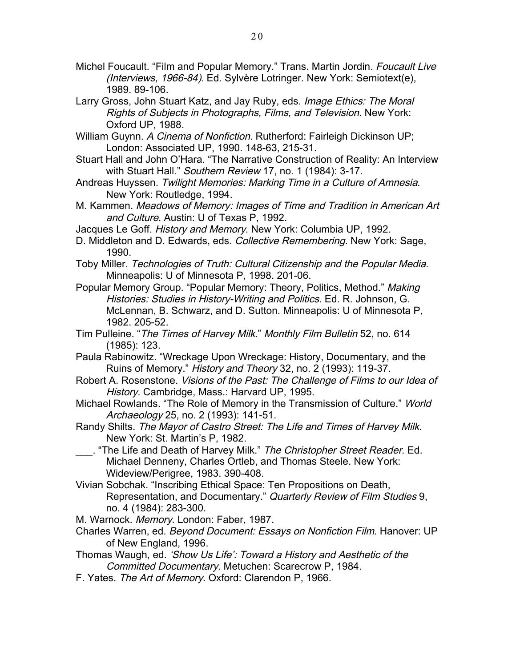- Michel Foucault. "Film and Popular Memory." Trans. Martin Jordin. Foucault Live (Interviews, 1966-84). Ed. Sylvère Lotringer. New York: Semiotext(e), 1989. 89-106.
- Larry Gross, John Stuart Katz, and Jay Ruby, eds. Image Ethics: The Moral Rights of Subjects in Photographs, Films, and Television. New York: Oxford UP, 1988.
- William Guynn. A Cinema of Nonfiction. Rutherford: Fairleigh Dickinson UP; London: Associated UP, 1990. 148-63, 215-31.
- Stuart Hall and John O'Hara. "The Narrative Construction of Reality: An Interview with Stuart Hall." Southern Review 17, no. 1 (1984): 3-17.
- Andreas Huyssen. Twilight Memories: Marking Time in a Culture of Amnesia. New York: Routledge, 1994.
- M. Kammen. Meadows of Memory: Images of Time and Tradition in American Art and Culture. Austin: U of Texas P, 1992.
- Jacques Le Goff. History and Memory. New York: Columbia UP, 1992.
- D. Middleton and D. Edwards, eds. Collective Remembering. New York: Sage, 1990.
- Toby Miller. Technologies of Truth: Cultural Citizenship and the Popular Media. Minneapolis: U of Minnesota P, 1998. 201-06.
- Popular Memory Group. "Popular Memory: Theory, Politics, Method." Making Histories: Studies in History-Writing and Politics. Ed. R. Johnson, G. McLennan, B. Schwarz, and D. Sutton. Minneapolis: U of Minnesota P, 1982. 205-52.
- Tim Pulleine. "The Times of Harvey Milk." Monthly Film Bulletin 52, no. 614 (1985): 123.
- Paula Rabinowitz. "Wreckage Upon Wreckage: History, Documentary, and the Ruins of Memory." History and Theory 32, no. 2 (1993): 119-37.
- Robert A. Rosenstone. Visions of the Past: The Challenge of Films to our Idea of History. Cambridge, Mass.: Harvard UP, 1995.
- Michael Rowlands. "The Role of Memory in the Transmission of Culture." World Archaeology 25, no. 2 (1993): 141-51.
- Randy Shilts. The Mayor of Castro Street: The Life and Times of Harvey Milk. New York: St. Martin's P, 1982.
- . "The Life and Death of Harvey Milk." The Christopher Street Reader. Ed. Michael Denneny, Charles Ortleb, and Thomas Steele. New York: Wideview/Perigree, 1983. 390-408.
- Vivian Sobchak. "Inscribing Ethical Space: Ten Propositions on Death, Representation, and Documentary." Quarterly Review of Film Studies 9, no. 4 (1984): 283-300.
- M. Warnock. Memory. London: Faber, 1987.
- Charles Warren, ed. Beyond Document: Essays on Nonfiction Film. Hanover: UP of New England, 1996.
- Thomas Waugh, ed. 'Show Us Life': Toward a History and Aesthetic of the Committed Documentary. Metuchen: Scarecrow P, 1984.
- F. Yates. The Art of Memory. Oxford: Clarendon P, 1966.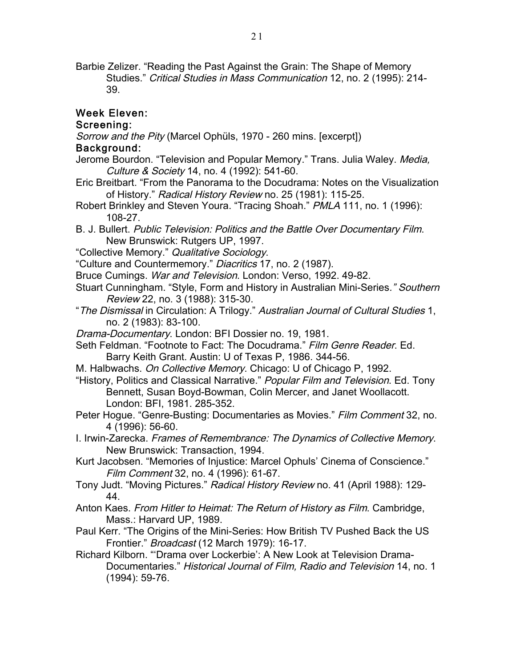Barbie Zelizer. "Reading the Past Against the Grain: The Shape of Memory Studies." Critical Studies in Mass Communication 12, no. 2 (1995): 214- 39.

# Week Eleven:

## Screening:

Sorrow and the Pity (Marcel Ophüls, 1970 - 260 mins. [excerpt])

- Jerome Bourdon. "Television and Popular Memory." Trans. Julia Waley. Media, Culture & Society 14, no. 4 (1992): 541-60.
- Eric Breitbart. "From the Panorama to the Docudrama: Notes on the Visualization of History." Radical History Review no. 25 (1981): 115-25.
- Robert Brinkley and Steven Youra. "Tracing Shoah." PMLA 111, no. 1 (1996): 108-27.
- B. J. Bullert. Public Television: Politics and the Battle Over Documentary Film. New Brunswick: Rutgers UP, 1997.
- "Collective Memory." Qualitative Sociology.
- "Culture and Countermemory." Diacritics 17, no. 2 (1987).
- Bruce Cumings. War and Television. London: Verso, 1992. 49-82.
- Stuart Cunningham. "Style, Form and History in Australian Mini-Series." Southern Review 22, no. 3 (1988): 315-30.
- "The Dismissal in Circulation: A Trilogy." Australian Journal of Cultural Studies 1, no. 2 (1983): 83-100.
- Drama-Documentary. London: BFI Dossier no. 19, 1981.
- Seth Feldman. "Footnote to Fact: The Docudrama." Film Genre Reader. Ed. Barry Keith Grant. Austin: U of Texas P, 1986. 344-56.
- M. Halbwachs. On Collective Memory. Chicago: U of Chicago P, 1992.
- "History, Politics and Classical Narrative." Popular Film and Television. Ed. Tony Bennett, Susan Boyd-Bowman, Colin Mercer, and Janet Woollacott. London: BFI, 1981. 285-352.
- Peter Hogue. "Genre-Busting: Documentaries as Movies." Film Comment 32, no. 4 (1996): 56-60.
- I. Irwin-Zarecka. Frames of Remembrance: The Dynamics of Collective Memory. New Brunswick: Transaction, 1994.
- Kurt Jacobsen. "Memories of Injustice: Marcel Ophuls' Cinema of Conscience." Film Comment 32, no. 4 (1996): 61-67.
- Tony Judt. "Moving Pictures." Radical History Review no. 41 (April 1988): 129- 44.
- Anton Kaes. From Hitler to Heimat: The Return of History as Film. Cambridge, Mass.: Harvard UP, 1989.
- Paul Kerr. "The Origins of the Mini-Series: How British TV Pushed Back the US Frontier." Broadcast (12 March 1979): 16-17.
- Richard Kilborn. "'Drama over Lockerbie': A New Look at Television Drama-Documentaries." Historical Journal of Film, Radio and Television 14, no. 1 (1994): 59-76.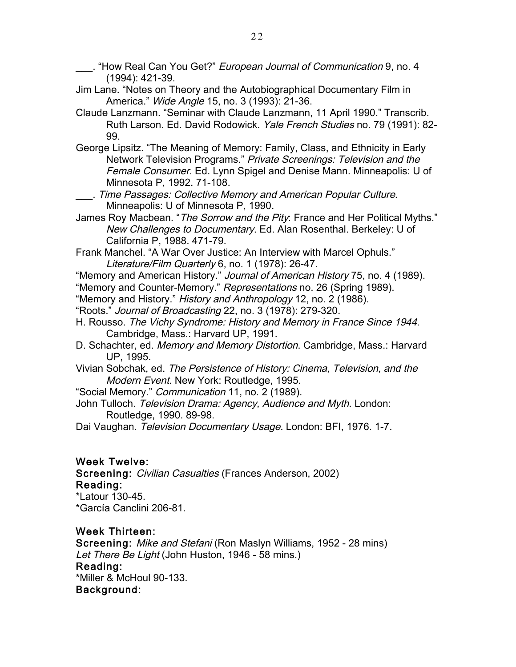. "How Real Can You Get?" *European Journal of Communication* 9, no. 4 (1994): 421-39.

Jim Lane. "Notes on Theory and the Autobiographical Documentary Film in America." Wide Angle 15, no. 3 (1993): 21-36.

Claude Lanzmann. "Seminar with Claude Lanzmann, 11 April 1990." Transcrib. Ruth Larson. Ed. David Rodowick. Yale French Studies no. 79 (1991): 82-99.

George Lipsitz. "The Meaning of Memory: Family, Class, and Ethnicity in Early Network Television Programs." Private Screenings: Television and the Female Consumer. Ed. Lynn Spigel and Denise Mann. Minneapolis: U of Minnesota P, 1992. 71-108.

\_\_\_. Time Passages: Collective Memory and American Popular Culture. Minneapolis: U of Minnesota P, 1990.

James Roy Macbean. "The Sorrow and the Pity: France and Her Political Myths." New Challenges to Documentary. Ed. Alan Rosenthal. Berkeley: U of California P, 1988. 471-79.

Frank Manchel. "A War Over Justice: An Interview with Marcel Ophuls." Literature/Film Quarterly 6, no. 1 (1978): 26-47.

"Memory and American History." Journal of American History 75, no. 4 (1989).

"Memory and Counter-Memory." Representations no. 26 (Spring 1989).

"Memory and History." History and Anthropology 12, no. 2 (1986).

"Roots." Journal of Broadcasting 22, no. 3 (1978): 279-320.

- H. Rousso. The Vichy Syndrome: History and Memory in France Since 1944. Cambridge, Mass.: Harvard UP, 1991.
- D. Schachter, ed. Memory and Memory Distortion. Cambridge, Mass.: Harvard UP, 1995.

Vivian Sobchak, ed. The Persistence of History: Cinema, Television, and the Modern Event. New York: Routledge, 1995.

"Social Memory." Communication 11, no. 2 (1989).

John Tulloch. Television Drama: Agency, Audience and Myth. London: Routledge, 1990. 89-98.

Dai Vaughan. Television Documentary Usage. London: BFI, 1976. 1-7.

# Week Twelve:

Screening: *Civilian Casualties* (Frances Anderson, 2002) Reading: \*Latour 130-45.

\*García Canclini 206-81.

# Week Thirteen:

Screening: Mike and Stefani (Ron Maslyn Williams, 1952 - 28 mins) Let There Be Light (John Huston, 1946 - 58 mins.) Reading: \*Miller & McHoul 90-133. Background: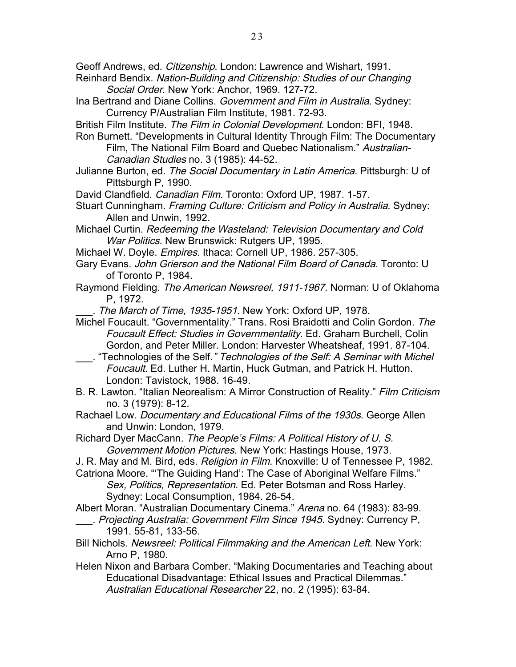Geoff Andrews, ed. Citizenship. London: Lawrence and Wishart, 1991.

- Reinhard Bendix. Nation-Building and Citizenship: Studies of our Changing Social Order. New York: Anchor, 1969. 127-72.
- Ina Bertrand and Diane Collins. Government and Film in Australia. Sydney: Currency P/Australian Film Institute, 1981. 72-93.
- British Film Institute. The Film in Colonial Development. London: BFI, 1948.
- Ron Burnett. "Developments in Cultural Identity Through Film: The Documentary Film, The National Film Board and Quebec Nationalism." Australian-Canadian Studies no. 3 (1985): 44-52.
- Julianne Burton, ed. The Social Documentary in Latin America. Pittsburgh: U of Pittsburgh P, 1990.
- David Clandfield. Canadian Film. Toronto: Oxford UP, 1987. 1-57.
- Stuart Cunningham. Framing Culture: Criticism and Policy in Australia. Sydney: Allen and Unwin, 1992.
- Michael Curtin. Redeeming the Wasteland: Television Documentary and Cold War Politics. New Brunswick: Rutgers UP, 1995.
- Michael W. Doyle. Empires. Ithaca: Cornell UP, 1986. 257-305.
- Gary Evans. John Grierson and the National Film Board of Canada. Toronto: U of Toronto P, 1984.
- Raymond Fielding. The American Newsreel, 1911-1967. Norman: U of Oklahoma P, 1972.

The March of Time, 1935-1951. New York: Oxford UP, 1978.

- Michel Foucault. "Governmentality." Trans. Rosi Braidotti and Colin Gordon. The Foucault Effect: Studies in Governmentality. Ed. Graham Burchell, Colin Gordon, and Peter Miller. London: Harvester Wheatsheaf, 1991. 87-104.
- ......... "Technologies of the Self." Technologies of the Self: A Seminar with Michel Foucault. Ed. Luther H. Martin, Huck Gutman, and Patrick H. Hutton. London: Tavistock, 1988. 16-49.
- B. R. Lawton. "Italian Neorealism: A Mirror Construction of Reality." Film Criticism no. 3 (1979): 8-12.
- Rachael Low. Documentary and Educational Films of the 1930s. George Allen and Unwin: London, 1979.
- Richard Dyer MacCann. The People's Films: A Political History of U. S. Government Motion Pictures. New York: Hastings House, 1973.
- J. R. May and M. Bird, eds. Religion in Film. Knoxville: U of Tennessee P, 1982.
- Catriona Moore. "'The Guiding Hand': The Case of Aboriginal Welfare Films." Sex, Politics, Representation. Ed. Peter Botsman and Ross Harley. Sydney: Local Consumption, 1984. 26-54.
- Albert Moran. "Australian Documentary Cinema." Arena no. 64 (1983): 83-99. \_\_\_. Projecting Australia: Government Film Since 1945. Sydney: Currency P, 1991. 55-81, 133-56.
- Bill Nichols. Newsreel: Political Filmmaking and the American Left. New York: Arno P, 1980.
- Helen Nixon and Barbara Comber. "Making Documentaries and Teaching about Educational Disadvantage: Ethical Issues and Practical Dilemmas." Australian Educational Researcher 22, no. 2 (1995): 63-84.